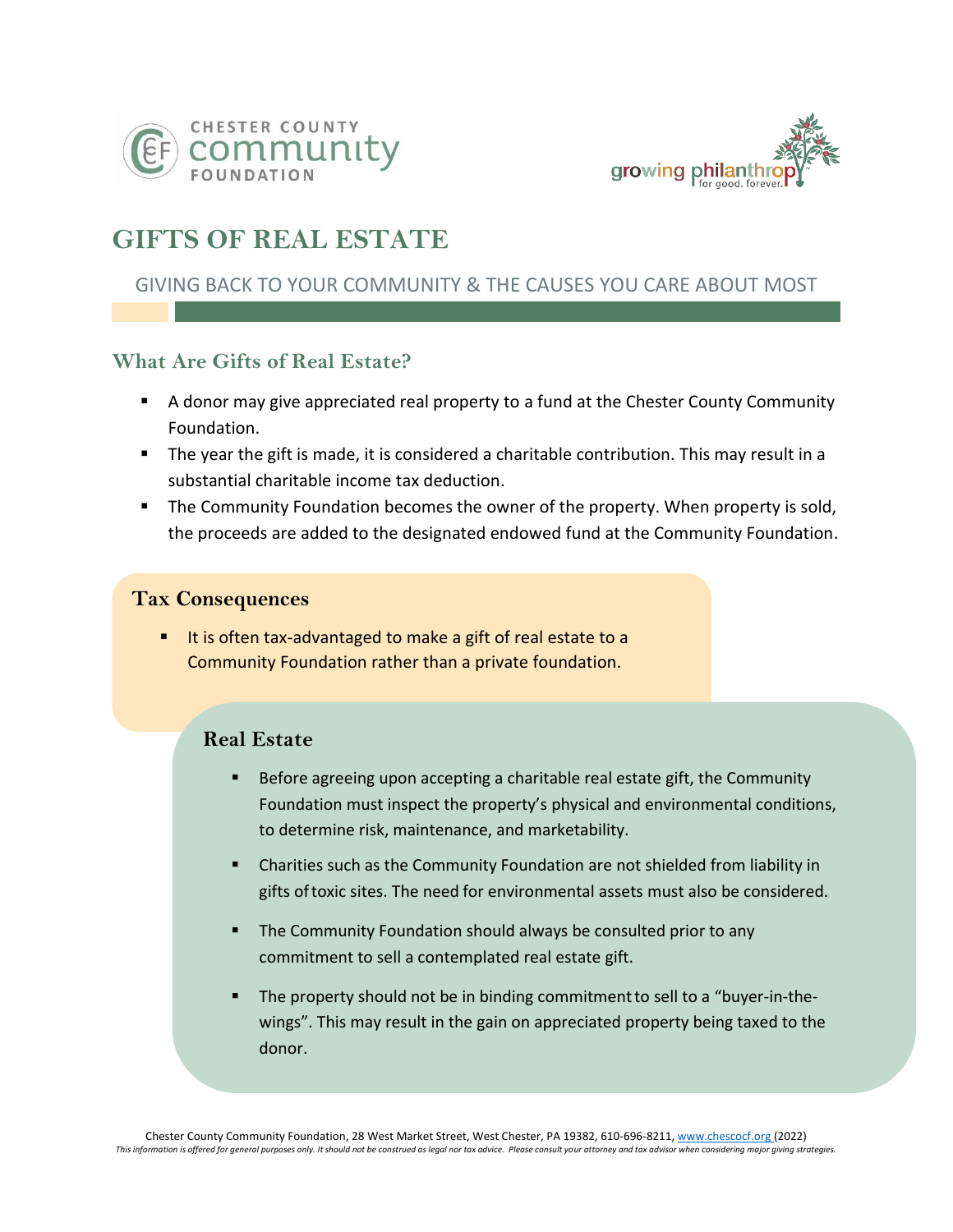



# **GIFTS OF REAL ESTATE**

# GIVING BACK TO YOUR COMMUNITY & THE CAUSES YOU CARE ABOUT MOST

## **What Are Gifts of Real Estate?**

- A donor may give appreciated real property to a fund at the Chester County Community Foundation.
- The year the gift is made, it is considered a charitable contribution. This may result in a substantial charitable income tax deduction.
- The Community Foundation becomes the owner of the property. When property is sold, the proceeds are added to the designated endowed fund at the Community Foundation.

#### **Tax Consequences**

It is often tax-advantaged to make a gift of real estate to a Community Foundation rather than a private foundation.

## **Real Estate**

- Before agreeing upon accepting a charitable real estate gift, the Community Foundation must inspect the property's physical and environmental conditions, to determine risk, maintenance, and marketability.
- **E** Charities such as the Community Foundation are not shielded from liability in gifts oftoxic sites. The need for environmental assets must also be considered.
- The Community Foundation should always be consulted prior to any commitment to sell a contemplated real estate gift.
- **•** The property should not be in binding commitment to sell to a "buyer-in-thewings". This may result in the gain on appreciated property being taxed to the donor.